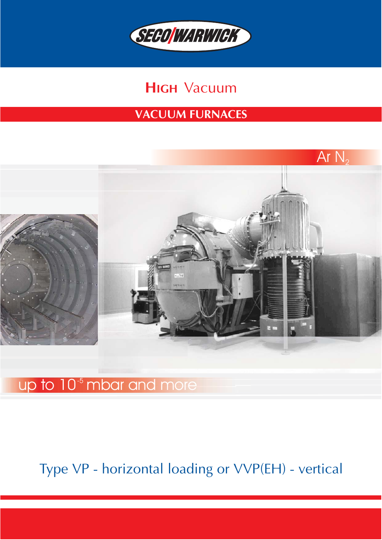

# **HIGH** Vacuum

## **VACUUM FURNACES**



# up to 10<sup>-5</sup> mbar and more

# Type VP − horizontal loading or VVP(EH) − vertical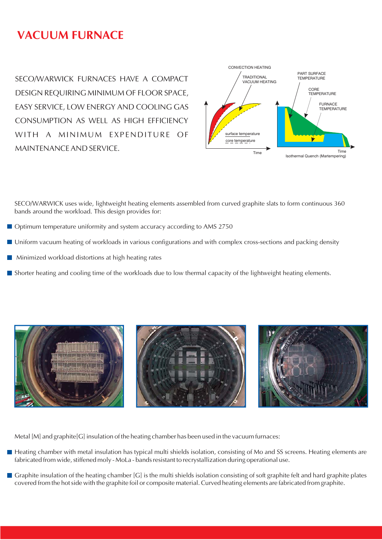## **VACUUM FURNACE**

SECO/WARWICK FURNACES HAVE A COMPACT DESIGN REQUIRING MINIMUM OF FLOOR SPACE, EASY SERVICE, LOW ENERGY AND COOLING GAS CONSUMPTION AS WELL AS HIGH EFFICIENCY WITH A MINIMUM EXPENDITURE OF MAINTENANCE AND SERVICE.



SECO/WARWICK uses wide, lightweight heating elements assembled from curved graphite slats to form continuous 360 bands around the workload. This design provides for:

- Optimum temperature uniformity and system accuracy according to AMS 2750
- Uniform vacuum heating of workloads in various configurations and with complex cross-sections and packing density
- Minimized workload distortions at high heating rates
- Shorter heating and cooling time of the workloads due to low thermal capacity of the lightweight heating elements.



Metal [M] and graphite[G] insulation of the heating chamber has been used in the vacuum furnaces:

- Heating chamber with metal insulation has typical multi shields isolation, consisting of Mo and SS screens. Heating elements are fabricated from wide, stiffened moly − MoLa − bands resistant to recrystallization during operational use.
- Graphite insulation of the heating chamber  $[G]$  is the multi shields isolation consisting of soft graphite felt and hard graphite plates covered from the hot side with the graphite foil or composite material. Curved heating elements are fabricated from graphite.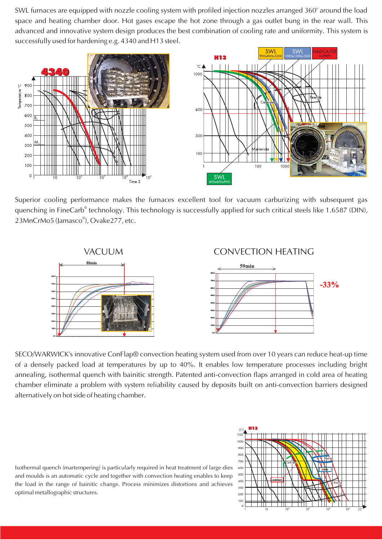SWL furnaces are equipped with nozzle cooling system with profiled injection nozzles arranged 360° around the load space and heating chamber door. Hot gases escape the hot zone through a gas outlet bung in the rear wall. This advanced and innovative system design produces the best combination of cooling rate and uniformity. This system is successfully used for hardening e.g. 4340 and H13 steel.





Superior cooling performance makes the furnaces excellent tool for vacuum carburizing with subsequent gas quenching in FineCarb<sup>®</sup> technology. This technology is successfully applied for such critical steels like 1.6587 (DIN), 23MnCrMo5 (Jamasco®), Ovake277, etc.



SECO/WARWICK's innovative ConFlap® convection heating system used from over 10 years can reduce heat−up time of a densely packed load at temperatures by up to 40%. It enables low temperature processes including bright annealing, isothermal quench with bainitic strength. Patented anti−convection flaps arranged in cold area of heating chamber eliminate a problem with system reliability caused by deposits built on anti−convection barriers designed alternatively on hot side of heating chamber.

Isothermal quench (martempering) is particularly required in heat treatment of large dies and moulds is an automatic cycle and together with convection heating enables to keep the load in the range of bainitic change. Process minimizes distortions and achieves optimal metallographic structures.

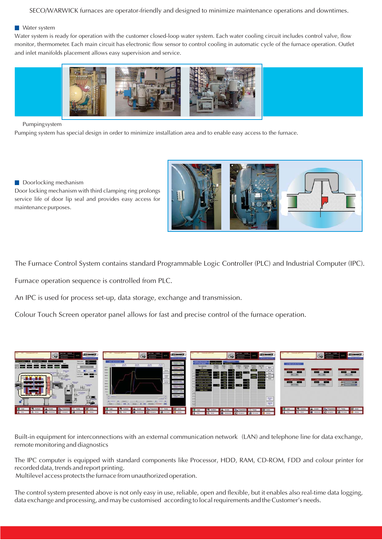#### SECO/WARWICK furnaces are operator−friendly and designed to minimize maintenance operations and downtimes.

#### **Water system**

Water system is ready for operation with the customer closed−loop water system. Each water cooling circuit includes control valve, flow monitor, thermometer. Each main circuit has electronic flow sensor to control cooling in automatic cycle of the furnace operation. Outlet and inlet manifolds placement allows easy supervision and service.



#### Pumping system

Pumping system has special design in order to minimize installation area and to enable easy access to the furnace.

### Doorlocking mechanism

Door locking mechanism with third clamping ring prolongs service life of door lip seal and provides easy access for maintenance purposes.

The Furnace Control System contains standard Programmable Logic Controller (PLC) and Industrial Computer (IPC).

Furnace operation sequence is controlled from PLC.

An IPC is used for process set−up, data storage, exchange and transmission.

Colour Touch Screen operator panel allows for fast and precise control of the furnace operation.



Built-in equipment for interconnections with an external communication network (LAN) and telephone line for data exchange, remote monitoring and diagnostics

The IPC computer is equipped with standard components like Processor, HDD, RAM, CD−ROM, FDD and colour printer for recorded data, trends and report printing.

Multilevel access protects the furnace from unauthorized operation.

The control system presented above is not only easy in use, reliable, open and flexible, but it enables also real−time data logging, data exchange and processing, and may be customised according to local requirements and the Customer's needs.

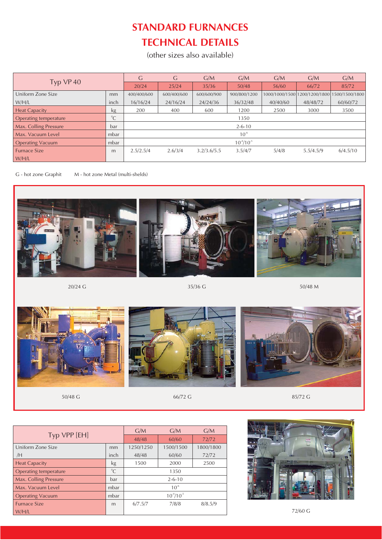## **STANDARD FURNANCES TECHNICAL DETAILS**

(other sizes also available)

|                         |             | G                | G           | G/M         | G/M          | G/M      | G/M                           | G/M            |  |
|-------------------------|-------------|------------------|-------------|-------------|--------------|----------|-------------------------------|----------------|--|
| Typ VP 40               |             | 20/24            | 25/24       | 35/36       | 50/48        | 56/60    | 66/72                         | 85/72          |  |
| Uniform Zone Size       | mm          | 400/400/600      | 600/400/600 | 600/600/900 | 900/800/1200 |          | 1000/1000/1500 1200/1200/1800 | 1500/1500/1800 |  |
| W/H/L                   | inch        | 16/16/24         | 24/16/24    | 24/24/36    | 36/32/48     | 40/40/60 | 48/48/72                      | 60/60/72       |  |
| <b>Heat Capacity</b>    | kg          | 200              | 400         | 600         | 1200         | 2500     | 3000                          | 3500           |  |
| Operating temperature   | $^{\circ}C$ | 1350             |             |             |              |          |                               |                |  |
| Max. Colling Pressure   | bar         | $2 - 6 - 10$     |             |             |              |          |                               |                |  |
| Max. Vacuum Level       | mbar        | $10^{-6}$        |             |             |              |          |                               |                |  |
| <b>Operating Vacuum</b> | mbar        | $10^{4}/10^{-5}$ |             |             |              |          |                               |                |  |
| <b>Furnace Size</b>     | m           | 2.5/2.5/4        | 2.6/3/4     | 3.2/3.6/5.5 | 3.5/4/7      | 5/4/8    | 5.5/4.5/9                     | 6/4.5/10       |  |
| W/H/L                   |             |                  |             |             |              |          |                               |                |  |

G − hot zone Graphit M − hot zone Metal (multi−shelds)



 $20/24$  G 50/48 M



 $50/48$  G  $85/72$  G  $85/72$  G

| Typ VPP [EH]            | G/M         | G/M              | G/M       |           |
|-------------------------|-------------|------------------|-----------|-----------|
|                         | 48/48       | 60/60            | 72/72     |           |
| Uniform Zone Size       | mm          | 1250/1250        | 1500/1500 | 1800/1800 |
| /H                      | inch        | 48/48            | 60/60     | 72/72     |
| <b>Heat Capacity</b>    | <b>kg</b>   | 1500             | 2000      | 2500      |
| Operating temperature   | $\rm ^{0}C$ |                  | 1350      |           |
| Max. Colling Pressure   | bar         | $2 - 6 - 10$     |           |           |
| Max. Vacuum Level       | mbar        | $10^{-6}$        |           |           |
| <b>Operating Vacuum</b> | mbar        | $10^{4}/10^{-5}$ |           |           |
| <b>Furnace Size</b>     | m           | 6/7.5/7          | 7/8/8     | 8/8.5/9   |
| W/H/L                   |             |                  |           |           |



72/60 G